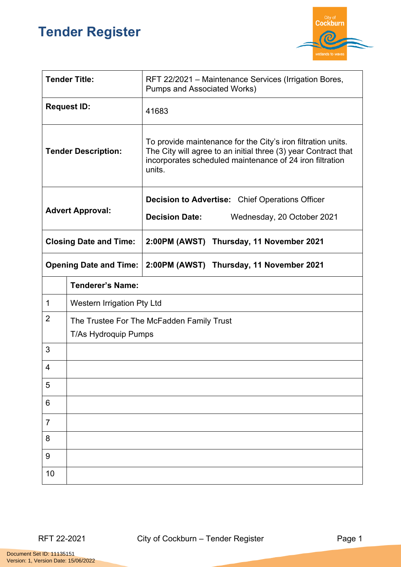## **Tender Register**



| <b>Tender Title:</b>          |                            | RFT 22/2021 – Maintenance Services (Irrigation Bores,<br><b>Pumps and Associated Works)</b>                                                                                                          |  |
|-------------------------------|----------------------------|------------------------------------------------------------------------------------------------------------------------------------------------------------------------------------------------------|--|
| <b>Request ID:</b>            |                            | 41683                                                                                                                                                                                                |  |
| <b>Tender Description:</b>    |                            | To provide maintenance for the City's iron filtration units.<br>The City will agree to an initial three (3) year Contract that<br>incorporates scheduled maintenance of 24 iron filtration<br>units. |  |
| <b>Advert Approval:</b>       |                            | <b>Decision to Advertise:</b> Chief Operations Officer                                                                                                                                               |  |
|                               |                            | <b>Decision Date:</b><br>Wednesday, 20 October 2021                                                                                                                                                  |  |
| <b>Closing Date and Time:</b> |                            | 2:00PM (AWST) Thursday, 11 November 2021                                                                                                                                                             |  |
| <b>Opening Date and Time:</b> |                            | 2:00PM (AWST) Thursday, 11 November 2021                                                                                                                                                             |  |
|                               | <b>Tenderer's Name:</b>    |                                                                                                                                                                                                      |  |
|                               |                            |                                                                                                                                                                                                      |  |
| 1                             | Western Irrigation Pty Ltd |                                                                                                                                                                                                      |  |
| $\overline{2}$                | T/As Hydroquip Pumps       | The Trustee For The McFadden Family Trust                                                                                                                                                            |  |
| 3                             |                            |                                                                                                                                                                                                      |  |
| 4                             |                            |                                                                                                                                                                                                      |  |
| 5                             |                            |                                                                                                                                                                                                      |  |
| 6                             |                            |                                                                                                                                                                                                      |  |
| $\overline{7}$                |                            |                                                                                                                                                                                                      |  |
| 8                             |                            |                                                                                                                                                                                                      |  |
| 9                             |                            |                                                                                                                                                                                                      |  |